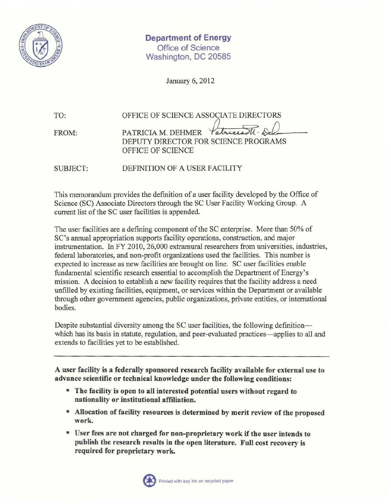

Department of Energy Office of Science Washington, DC 20585

January 6, 2012

| TO:   | OFFICE OF SCIENCE ASSOCIATE DIRECTORS |
|-------|---------------------------------------|
| FROM: | PATRICIA M. DEHMER Patriciall. Dele   |
|       | DEPUTY DIRECTOR FOR SCIENCE PROGRAMS  |
|       | OFFICE OF SCIENCE                     |

SUBJECT: DEFINITION OF A USER FACILITY

This memorandum provides the definition of a user facility developed by the Office of Science (SC) Associate Directors through the SC User Facility Working Group. A current list of the SC user facilities is appended.

The user facilities are a defining component of the SC enterprise. More than 50% of SC's annual appropriation supports facility operations, construction, and major instrumentation. In FY 2010, 26,000 extramural researchers from universities, industries, federal laboratories, and non-profit organizations used the facilities. This number is expected to increase as new facilities are brought on line. SC user facilities enable fundamental scientific research essential to accomplish the Department of Energy's mission. A decision to establish a new facility requires that the facility address a need unfilled by existing facilities, equipment, or services within the Department or available through other government agencies, public organizations, private entities, or international bodies.

Despite substantial diversity among the SC user facilities, the following definitionwhich has its basis in statute, regulation, and peer-evaluated practices—applies to all and extends to facilities yet to be established.

A user facility is a federally sponsored research facility available for external use to advance scientific or technical knowledge under the following conditions:

- The facility is open to all interested potential users without regard to nationality or institutional affiliation.
- Allocation of facility resources is determined by merit review of the proposed work.
- User fees are not charged for non-proprietary work if the user intends to publish the research results in the open literature. Full cost recovery is required for proprietary work.

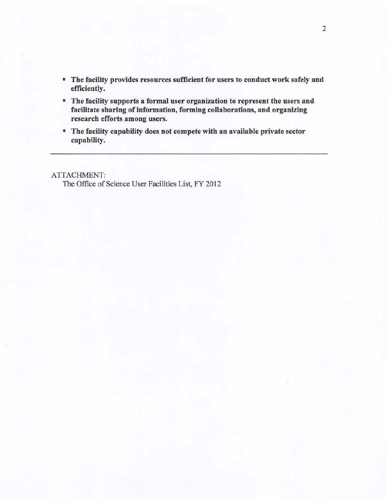- The facility provides resources sufficient for users to conduct work safely and efficiently.
- The facility supports a formal user organization to represent the users and facilitate sharing of information, forming collaborations, and organizing research efforts among users.
- The facility capability does not compete with an available private sector capability.

ATTACHMENT:

The Office of Science User Facilities List, FY 2012